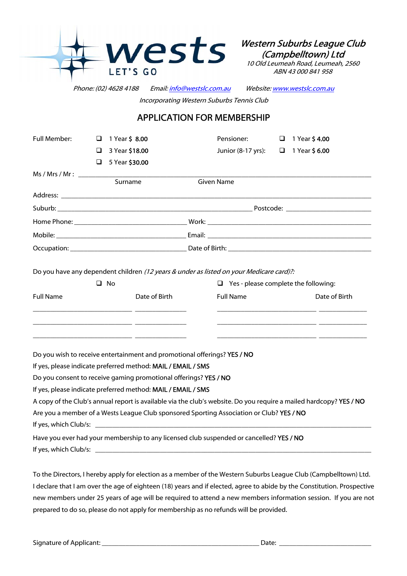

Western Suburbs League Club (Campbelltown) Ltd

10 Old Leumeah Road, Leumeah, 2560 ABN 43 000 841 958

Phone: (02) 4628 4188 Email: [info@westslc.com.au](mailto:info@westslc.com.au) Website: [www.westslc.com.au](http://www.westslc.com.au/) Incorporating Western Suburbs Tennis Club

## APPLICATION FOR MEMBERSHIP

| <b>Full Member:</b>                                              | ⊔ | 1 Year \$8.00                                                            | Pensioner:                                                                                                         | 1 Year <b>\$4.00</b><br>❏ |               |  |
|------------------------------------------------------------------|---|--------------------------------------------------------------------------|--------------------------------------------------------------------------------------------------------------------|---------------------------|---------------|--|
|                                                                  | ❏ | 3 Year \$18.00                                                           | Junior (8-17 yrs):                                                                                                 | 1 Year \$6.00<br>$\Box$   |               |  |
|                                                                  | ❏ | 5 Year \$30.00                                                           |                                                                                                                    |                           |               |  |
| Ms / Mrs / Mr:                                                   |   |                                                                          |                                                                                                                    |                           |               |  |
|                                                                  |   | Surname                                                                  | <b>Given Name</b>                                                                                                  |                           |               |  |
|                                                                  |   |                                                                          |                                                                                                                    |                           |               |  |
|                                                                  |   |                                                                          |                                                                                                                    |                           |               |  |
|                                                                  |   |                                                                          |                                                                                                                    |                           |               |  |
|                                                                  |   |                                                                          |                                                                                                                    |                           |               |  |
|                                                                  |   |                                                                          |                                                                                                                    |                           |               |  |
|                                                                  |   |                                                                          |                                                                                                                    |                           |               |  |
|                                                                  |   |                                                                          | Do you have any dependent children (12 years & under as listed on your Medicare card)?:                            |                           |               |  |
| $\Box$ No                                                        |   |                                                                          | $\Box$ Yes - please complete the following:                                                                        |                           |               |  |
| <b>Full Name</b>                                                 |   | Date of Birth                                                            | <b>Full Name</b>                                                                                                   |                           | Date of Birth |  |
|                                                                  |   |                                                                          |                                                                                                                    |                           |               |  |
|                                                                  |   |                                                                          |                                                                                                                    |                           |               |  |
|                                                                  |   |                                                                          |                                                                                                                    |                           |               |  |
|                                                                  |   |                                                                          |                                                                                                                    |                           |               |  |
|                                                                  |   | Do you wish to receive entertainment and promotional offerings? YES / NO |                                                                                                                    |                           |               |  |
|                                                                  |   | If yes, please indicate preferred method: MAIL / EMAIL / SMS             |                                                                                                                    |                           |               |  |
| Do you consent to receive gaming promotional offerings? YES / NO |   |                                                                          |                                                                                                                    |                           |               |  |
|                                                                  |   | If yes, please indicate preferred method: MAIL / EMAIL / SMS             |                                                                                                                    |                           |               |  |
|                                                                  |   |                                                                          | A copy of the Club's annual report is available via the club's website. Do you require a mailed hardcopy? YES / NO |                           |               |  |
|                                                                  |   |                                                                          | Are you a member of a Wests League Club sponsored Sporting Association or Club? YES / NO                           |                           |               |  |
|                                                                  |   |                                                                          |                                                                                                                    |                           |               |  |
|                                                                  |   |                                                                          | Have you ever had your membership to any licensed club suspended or cancelled? YES / NO                            |                           |               |  |
|                                                                  |   |                                                                          |                                                                                                                    |                           |               |  |

To the Directors, I hereby apply for election as a member of the Western Suburbs League Club (Campbelltown) Ltd. I declare that I am over the age of eighteen (18) years and if elected, agree to abide by the Constitution. Prospective new members under 25 years of age will be required to attend a new members information session. If you are not prepared to do so, please do not apply for membership as no refunds will be provided.